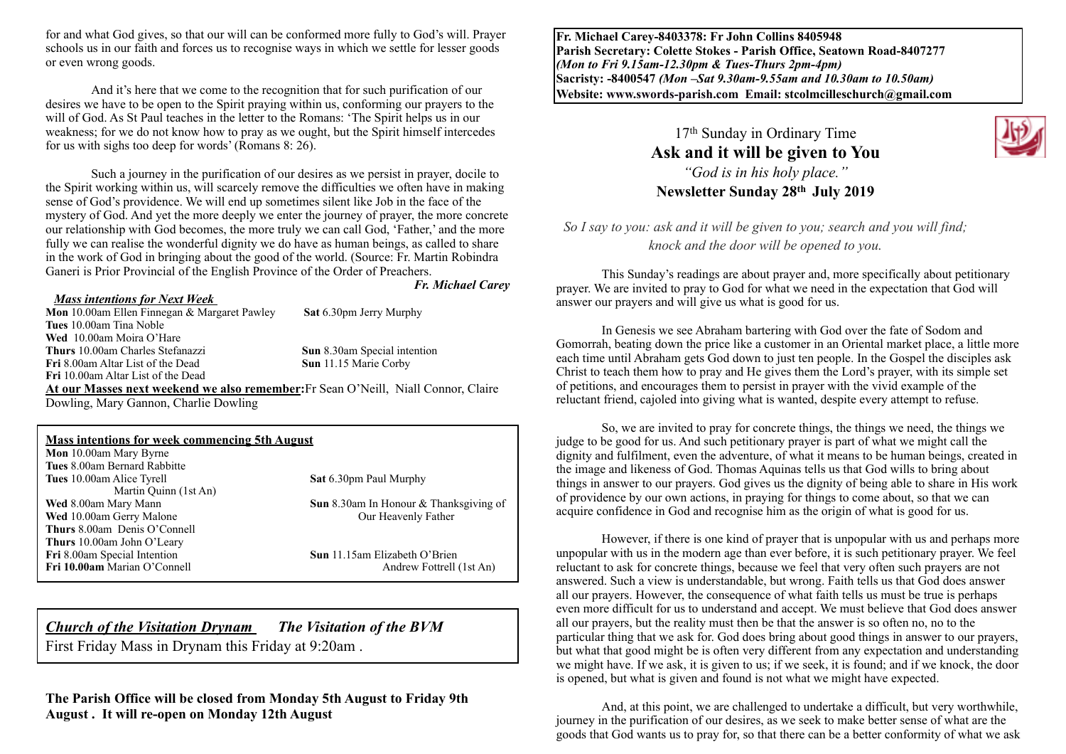for and what God gives, so that our will can be conformed more fully to God's will. Prayer schools us in our faith and forces us to recognise ways in which we settle for lesser goods or even wrong goods.

And it's here that we come to the recognition that for such purification of our desires we have to be open to the Spirit praying within us, conforming our prayers to the will of God. As St Paul teaches in the letter to the Romans: 'The Spirit helps us in our weakness; for we do not know how to pray as we ought, but the Spirit himself intercedes for us with sighs too deep for words' (Romans 8: 26).

Such a journey in the purification of our desires as we persist in prayer, docile to the Spirit working within us, will scarcely remove the difficulties we often have in making sense of God's providence. We will end up sometimes silent like Job in the face of the mystery of God. And yet the more deeply we enter the journey of prayer, the more concrete our relationship with God becomes, the more truly we can call God, 'Father,' and the more fully we can realise the wonderful dignity we do have as human beings, as called to share in the work of God in bringing about the good of the world. (Source: Fr. Martin Robindra Ganeri is Prior Provincial of the English Province of the Order of Preachers.

#### *Mass intentions for Next Week*

*Fr. Michael Carey*

**Mon** 10.00am Ellen Finnegan & Margaret Pawley **Sat** 6.30pm Jerry Murphy **Tues** 10.00am Tina Noble **Wed** 10.00am Moira O'Hare **Thurs** 10.00am Charles Stefanazzi **Sun** 8.30am Special intention Fri 8.00am Altar List of the Dead<br>
Sun 11.15 Marie Corby **Fri** 10.00am Altar List of the Dead **At our Masses next weekend we also remember:**Fr Sean O'Neill, Niall Connor, Claire Dowling, Mary Gannon, Charlie Dowling

| <b>Mass intentions for week commencing 5th August</b> |                                   |                                        |
|-------------------------------------------------------|-----------------------------------|----------------------------------------|
|                                                       | <b>Mon</b> 10.00am Mary Byrne     |                                        |
|                                                       | Tues 8.00am Bernard Rabbitte      |                                        |
|                                                       | Tues 10.00am Alice Tyrell         | <b>Sat 6.30pm Paul Murphy</b>          |
|                                                       | Martin Quinn (1st An)             |                                        |
|                                                       | Wed 8.00am Mary Mann              | Sun 8.30am In Honour & Thanksgiving of |
|                                                       | Wed 10.00am Gerry Malone          | Our Heavenly Father                    |
|                                                       | Thurs 8.00am Denis O'Connell      |                                        |
|                                                       | <b>Thurs</b> 10.00am John O'Leary |                                        |
|                                                       | Fri 8.00am Special Intention      | <b>Sun</b> 11.15am Elizabeth O'Brien   |
|                                                       | Fri 10.00am Marian O'Connell      | Andrew Fottrell (1st An)               |
|                                                       |                                   |                                        |

## *Church of the Visitation Drynam**The Visitation of the BVM*

First Friday Mass in Drynam this Friday at 9:20am .

#### **The Parish Office will be closed from Monday 5th August to Friday 9th August . It will re-open on Monday 12th August**

**Fr. Michael Carey-8403378: Fr John Collins 8405948 Parish Secretary: Colette Stokes - Parish Office, Seatown Road-8407277**  *(Mon to Fri 9.15am-12.30pm & Tues-Thurs 2pm-4pm)*  **Sacristy: -8400547** *(Mon –Sat 9.30am-9.55am and 10.30am to 10.50am)* **Website: [www.swords-parish.com Email:](http://www.swords-parish.com%20%20email) stcolmcilleschurch@gmail.com**

> 17th Sunday in Ordinary Time **Ask and it will be given to You** *"God is in his holy place."*  **Newsletter Sunday 28th July 2019**



*So I say to you: ask and it will be given to you; search and you will find; knock and the door will be opened to you.*

This Sunday's readings are about prayer and, more specifically about petitionary prayer. We are invited to pray to God for what we need in the expectation that God will answer our prayers and will give us what is good for us.

In Genesis we see Abraham bartering with God over the fate of Sodom and Gomorrah, beating down the price like a customer in an Oriental market place, a little more each time until Abraham gets God down to just ten people. In the Gospel the disciples ask Christ to teach them how to pray and He gives them the Lord's prayer, with its simple set of petitions, and encourages them to persist in prayer with the vivid example of the reluctant friend, cajoled into giving what is wanted, despite every attempt to refuse.

So, we are invited to pray for concrete things, the things we need, the things we judge to be good for us. And such petitionary prayer is part of what we might call the dignity and fulfilment, even the adventure, of what it means to be human beings, created in the image and likeness of God. Thomas Aquinas tells us that God wills to bring about things in answer to our prayers. God gives us the dignity of being able to share in His work of providence by our own actions, in praying for things to come about, so that we can acquire confidence in God and recognise him as the origin of what is good for us.

However, if there is one kind of prayer that is unpopular with us and perhaps more unpopular with us in the modern age than ever before, it is such petitionary prayer. We feel reluctant to ask for concrete things, because we feel that very often such prayers are not answered. Such a view is understandable, but wrong. Faith tells us that God does answer all our prayers. However, the consequence of what faith tells us must be true is perhaps even more difficult for us to understand and accept. We must believe that God does answer all our prayers, but the reality must then be that the answer is so often no, no to the particular thing that we ask for. God does bring about good things in answer to our prayers, but what that good might be is often very different from any expectation and understanding we might have. If we ask, it is given to us; if we seek, it is found; and if we knock, the door is opened, but what is given and found is not what we might have expected.

And, at this point, we are challenged to undertake a difficult, but very worthwhile, journey in the purification of our desires, as we seek to make better sense of what are the goods that God wants us to pray for, so that there can be a better conformity of what we ask